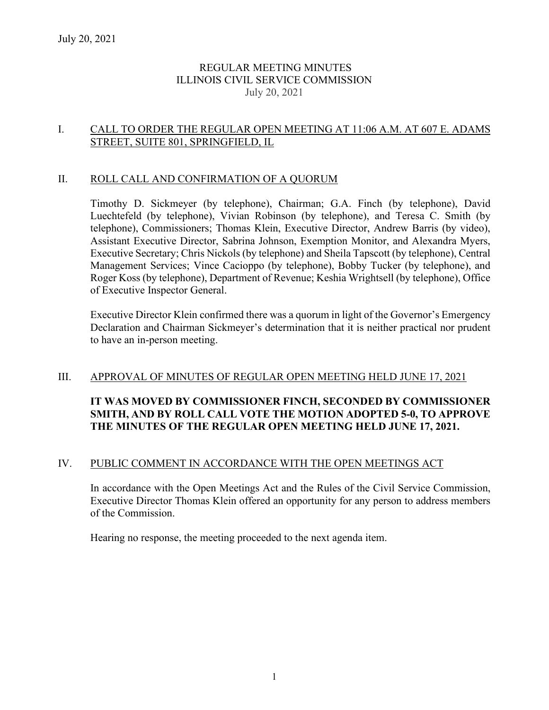# REGULAR MEETING MINUTES ILLINOIS CIVIL SERVICE COMMISSION July 20, 2021

### I. CALL TO ORDER THE REGULAR OPEN MEETING AT 11:06 A.M. AT 607 E. ADAMS STREET, SUITE 801, SPRINGFIELD, IL

### II. ROLL CALL AND CONFIRMATION OF A QUORUM

Timothy D. Sickmeyer (by telephone), Chairman; G.A. Finch (by telephone), David Luechtefeld (by telephone), Vivian Robinson (by telephone), and Teresa C. Smith (by telephone), Commissioners; Thomas Klein, Executive Director, Andrew Barris (by video), Assistant Executive Director, Sabrina Johnson, Exemption Monitor, and Alexandra Myers, Executive Secretary; Chris Nickols (by telephone) and Sheila Tapscott (by telephone), Central Management Services; Vince Cacioppo (by telephone), Bobby Tucker (by telephone), and Roger Koss (by telephone), Department of Revenue; Keshia Wrightsell (by telephone), Office of Executive Inspector General.

Executive Director Klein confirmed there was a quorum in light of the Governor's Emergency Declaration and Chairman Sickmeyer's determination that it is neither practical nor prudent to have an in-person meeting.

# III. APPROVAL OF MINUTES OF REGULAR OPEN MEETING HELD JUNE 17, 2021

# **IT WAS MOVED BY COMMISSIONER FINCH, SECONDED BY COMMISSIONER SMITH, AND BY ROLL CALL VOTE THE MOTION ADOPTED 5-0, TO APPROVE THE MINUTES OF THE REGULAR OPEN MEETING HELD JUNE 17, 2021.**

### IV. PUBLIC COMMENT IN ACCORDANCE WITH THE OPEN MEETINGS ACT

In accordance with the Open Meetings Act and the Rules of the Civil Service Commission, Executive Director Thomas Klein offered an opportunity for any person to address members of the Commission.

Hearing no response, the meeting proceeded to the next agenda item.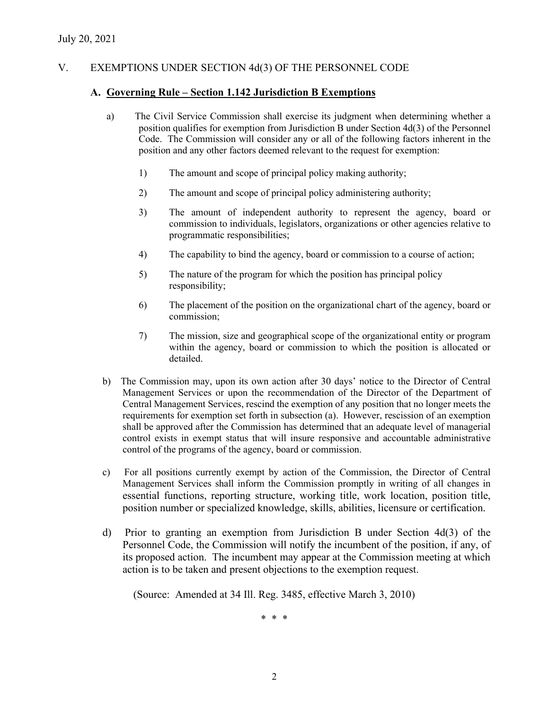# V. EXEMPTIONS UNDER SECTION 4d(3) OF THE PERSONNEL CODE

### **A. Governing Rule – Section 1.142 Jurisdiction B Exemptions**

- a) The Civil Service Commission shall exercise its judgment when determining whether a position qualifies for exemption from Jurisdiction B under Section 4d(3) of the Personnel Code. The Commission will consider any or all of the following factors inherent in the position and any other factors deemed relevant to the request for exemption:
	- 1) The amount and scope of principal policy making authority;
	- 2) The amount and scope of principal policy administering authority;
	- 3) The amount of independent authority to represent the agency, board or commission to individuals, legislators, organizations or other agencies relative to programmatic responsibilities;
	- 4) The capability to bind the agency, board or commission to a course of action;
	- 5) The nature of the program for which the position has principal policy responsibility;
	- 6) The placement of the position on the organizational chart of the agency, board or commission;
	- 7) The mission, size and geographical scope of the organizational entity or program within the agency, board or commission to which the position is allocated or detailed.
- b) The Commission may, upon its own action after 30 days' notice to the Director of Central Management Services or upon the recommendation of the Director of the Department of Central Management Services, rescind the exemption of any position that no longer meets the requirements for exemption set forth in subsection (a). However, rescission of an exemption shall be approved after the Commission has determined that an adequate level of managerial control exists in exempt status that will insure responsive and accountable administrative control of the programs of the agency, board or commission.
- c) For all positions currently exempt by action of the Commission, the Director of Central Management Services shall inform the Commission promptly in writing of all changes in essential functions, reporting structure, working title, work location, position title, position number or specialized knowledge, skills, abilities, licensure or certification.
- d) Prior to granting an exemption from Jurisdiction B under Section 4d(3) of the Personnel Code, the Commission will notify the incumbent of the position, if any, of its proposed action. The incumbent may appear at the Commission meeting at which action is to be taken and present objections to the exemption request.

(Source: Amended at 34 Ill. Reg. 3485, effective March 3, 2010)

\* \* \*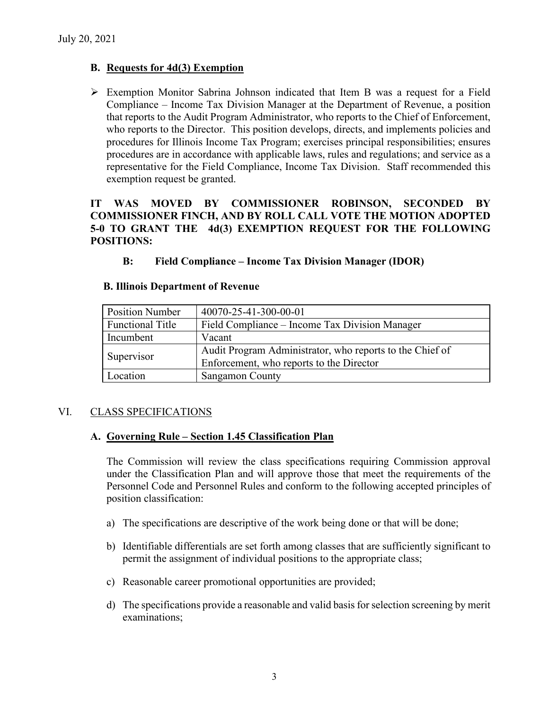# **B. Requests for 4d(3) Exemption**

 Exemption Monitor Sabrina Johnson indicated that Item B was a request for a Field Compliance – Income Tax Division Manager at the Department of Revenue, a position that reports to the Audit Program Administrator, who reports to the Chief of Enforcement, who reports to the Director. This position develops, directs, and implements policies and procedures for Illinois Income Tax Program; exercises principal responsibilities; ensures procedures are in accordance with applicable laws, rules and regulations; and service as a representative for the Field Compliance, Income Tax Division. Staff recommended this exemption request be granted.

### **IT WAS MOVED BY COMMISSIONER ROBINSON, SECONDED BY COMMISSIONER FINCH, AND BY ROLL CALL VOTE THE MOTION ADOPTED 5-0 TO GRANT THE 4d(3) EXEMPTION REQUEST FOR THE FOLLOWING POSITIONS:**

**B: Field Compliance – Income Tax Division Manager (IDOR)**

| <b>Position Number</b>  | 40070-25-41-300-00-01                                    |
|-------------------------|----------------------------------------------------------|
| <b>Functional Title</b> | Field Compliance – Income Tax Division Manager           |
| Incumbent               | Vacant                                                   |
| Supervisor              | Audit Program Administrator, who reports to the Chief of |
|                         | Enforcement, who reports to the Director                 |
| Location                | <b>Sangamon County</b>                                   |

#### **B. Illinois Department of Revenue**

### VI. CLASS SPECIFICATIONS

#### **A. Governing Rule – Section 1.45 Classification Plan**

The Commission will review the class specifications requiring Commission approval under the Classification Plan and will approve those that meet the requirements of the Personnel Code and Personnel Rules and conform to the following accepted principles of position classification:

- a) The specifications are descriptive of the work being done or that will be done;
- b) Identifiable differentials are set forth among classes that are sufficiently significant to permit the assignment of individual positions to the appropriate class;
- c) Reasonable career promotional opportunities are provided;
- d) The specifications provide a reasonable and valid basis for selection screening by merit examinations;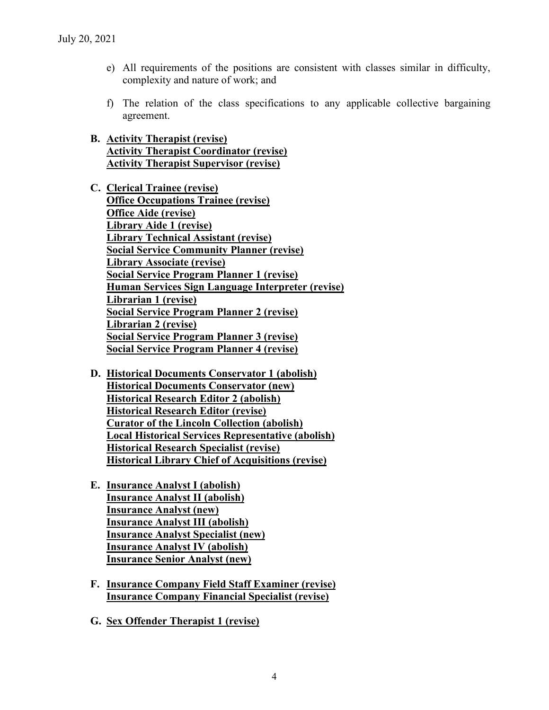- e) All requirements of the positions are consistent with classes similar in difficulty, complexity and nature of work; and
- f) The relation of the class specifications to any applicable collective bargaining agreement.
- **B. Activity Therapist (revise) Activity Therapist Coordinator (revise) Activity Therapist Supervisor (revise)**
- **C. Clerical Trainee (revise) Office Occupations Trainee (revise) Office Aide (revise) Library Aide 1 (revise) Library Technical Assistant (revise) Social Service Community Planner (revise) Library Associate (revise) Social Service Program Planner 1 (revise) Human Services Sign Language Interpreter (revise) Librarian 1 (revise) Social Service Program Planner 2 (revise) Librarian 2 (revise) Social Service Program Planner 3 (revise) Social Service Program Planner 4 (revise)**
- **D. Historical Documents Conservator 1 (abolish) Historical Documents Conservator (new) Historical Research Editor 2 (abolish) Historical Research Editor (revise) Curator of the Lincoln Collection (abolish) Local Historical Services Representative (abolish) Historical Research Specialist (revise) Historical Library Chief of Acquisitions (revise)**
- **E. Insurance Analyst I (abolish) Insurance Analyst II (abolish) Insurance Analyst (new) Insurance Analyst III (abolish) Insurance Analyst Specialist (new) Insurance Analyst IV (abolish) Insurance Senior Analyst (new)**
- **F. Insurance Company Field Staff Examiner (revise) Insurance Company Financial Specialist (revise)**
- **G. Sex Offender Therapist 1 (revise)**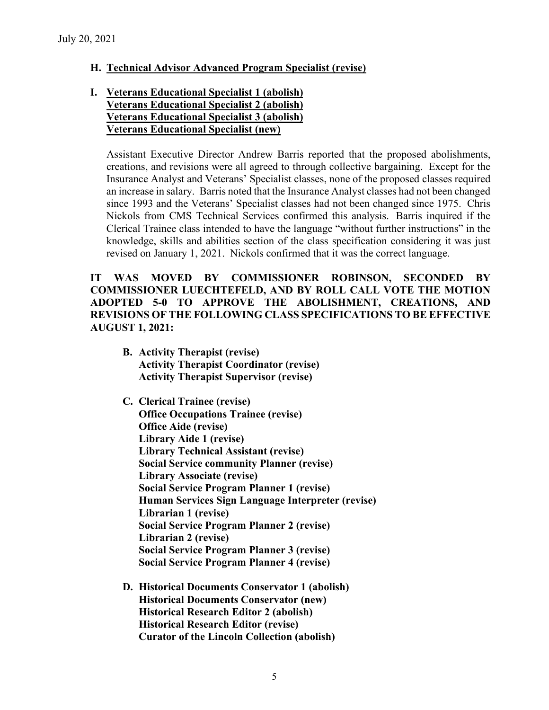### **H. Technical Advisor Advanced Program Specialist (revise)**

## **I. Veterans Educational Specialist 1 (abolish) Veterans Educational Specialist 2 (abolish) Veterans Educational Specialist 3 (abolish) Veterans Educational Specialist (new)**

Assistant Executive Director Andrew Barris reported that the proposed abolishments, creations, and revisions were all agreed to through collective bargaining. Except for the Insurance Analyst and Veterans' Specialist classes, none of the proposed classes required an increase in salary. Barris noted that the Insurance Analyst classes had not been changed since 1993 and the Veterans' Specialist classes had not been changed since 1975. Chris Nickols from CMS Technical Services confirmed this analysis. Barris inquired if the Clerical Trainee class intended to have the language "without further instructions" in the knowledge, skills and abilities section of the class specification considering it was just revised on January 1, 2021. Nickols confirmed that it was the correct language.

**IT WAS MOVED BY COMMISSIONER ROBINSON, SECONDED BY COMMISSIONER LUECHTEFELD, AND BY ROLL CALL VOTE THE MOTION ADOPTED 5-0 TO APPROVE THE ABOLISHMENT, CREATIONS, AND REVISIONS OF THE FOLLOWING CLASS SPECIFICATIONS TO BE EFFECTIVE AUGUST 1, 2021:**

- **B. Activity Therapist (revise) Activity Therapist Coordinator (revise) Activity Therapist Supervisor (revise)**
- **C. Clerical Trainee (revise) Office Occupations Trainee (revise) Office Aide (revise) Library Aide 1 (revise) Library Technical Assistant (revise) Social Service community Planner (revise) Library Associate (revise) Social Service Program Planner 1 (revise) Human Services Sign Language Interpreter (revise) Librarian 1 (revise) Social Service Program Planner 2 (revise) Librarian 2 (revise) Social Service Program Planner 3 (revise) Social Service Program Planner 4 (revise)**
- **D. Historical Documents Conservator 1 (abolish) Historical Documents Conservator (new) Historical Research Editor 2 (abolish) Historical Research Editor (revise) Curator of the Lincoln Collection (abolish)**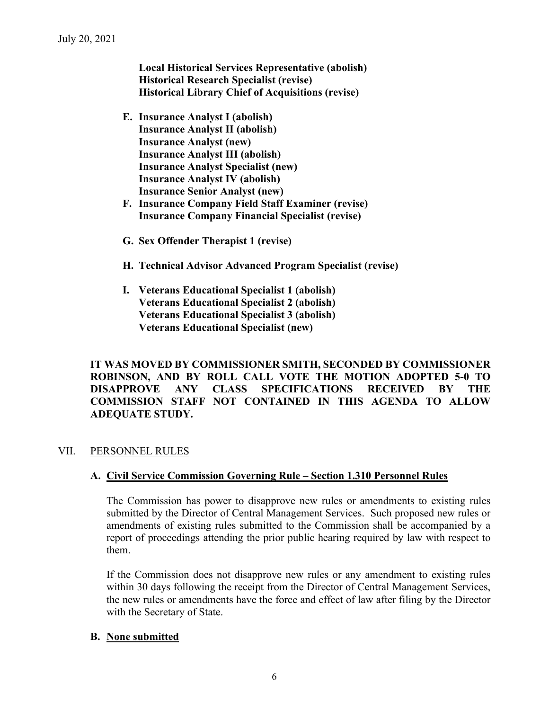**Local Historical Services Representative (abolish) Historical Research Specialist (revise) Historical Library Chief of Acquisitions (revise)**

- **E. Insurance Analyst I (abolish) Insurance Analyst II (abolish) Insurance Analyst (new) Insurance Analyst III (abolish) Insurance Analyst Specialist (new) Insurance Analyst IV (abolish) Insurance Senior Analyst (new)**
- **F. Insurance Company Field Staff Examiner (revise) Insurance Company Financial Specialist (revise)**
- **G. Sex Offender Therapist 1 (revise)**
- **H. Technical Advisor Advanced Program Specialist (revise)**
- **I. Veterans Educational Specialist 1 (abolish) Veterans Educational Specialist 2 (abolish) Veterans Educational Specialist 3 (abolish) Veterans Educational Specialist (new)**

**IT WAS MOVED BY COMMISSIONER SMITH, SECONDED BY COMMISSIONER ROBINSON, AND BY ROLL CALL VOTE THE MOTION ADOPTED 5-0 TO DISAPPROVE ANY CLASS SPECIFICATIONS RECEIVED BY THE COMMISSION STAFF NOT CONTAINED IN THIS AGENDA TO ALLOW ADEQUATE STUDY.** 

# VII. PERSONNEL RULES

### **A. Civil Service Commission Governing Rule – Section 1.310 Personnel Rules**

The Commission has power to disapprove new rules or amendments to existing rules submitted by the Director of Central Management Services. Such proposed new rules or amendments of existing rules submitted to the Commission shall be accompanied by a report of proceedings attending the prior public hearing required by law with respect to them.

If the Commission does not disapprove new rules or any amendment to existing rules within 30 days following the receipt from the Director of Central Management Services, the new rules or amendments have the force and effect of law after filing by the Director with the Secretary of State.

### **B. None submitted**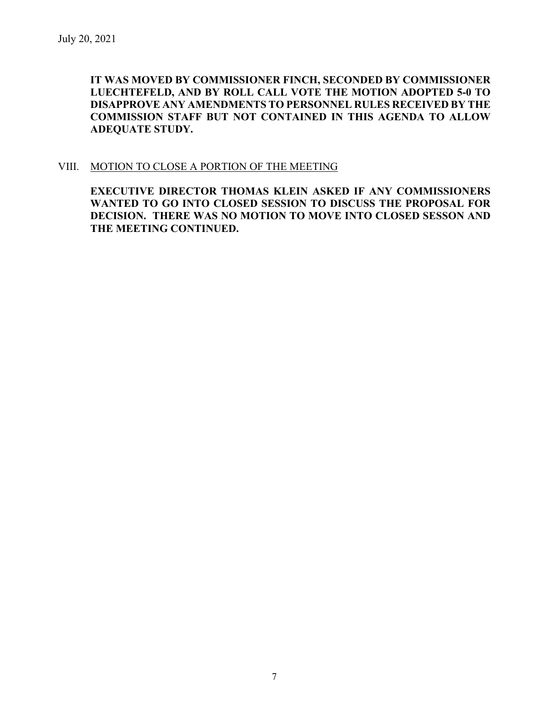**IT WAS MOVED BY COMMISSIONER FINCH, SECONDED BY COMMISSIONER LUECHTEFELD, AND BY ROLL CALL VOTE THE MOTION ADOPTED 5-0 TO DISAPPROVE ANY AMENDMENTS TO PERSONNEL RULES RECEIVED BY THE COMMISSION STAFF BUT NOT CONTAINED IN THIS AGENDA TO ALLOW ADEQUATE STUDY.** 

### VIII. MOTION TO CLOSE A PORTION OF THE MEETING

**EXECUTIVE DIRECTOR THOMAS KLEIN ASKED IF ANY COMMISSIONERS WANTED TO GO INTO CLOSED SESSION TO DISCUSS THE PROPOSAL FOR DECISION. THERE WAS NO MOTION TO MOVE INTO CLOSED SESSON AND THE MEETING CONTINUED.**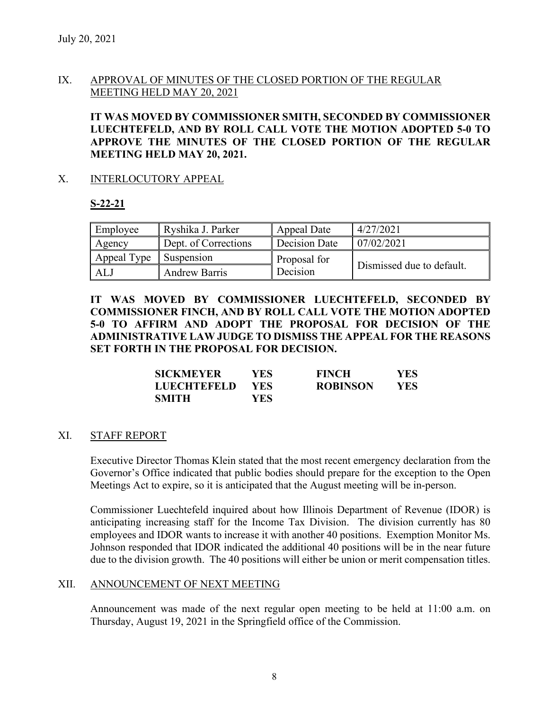# IX. APPROVAL OF MINUTES OF THE CLOSED PORTION OF THE REGULAR MEETING HELD MAY 20, 2021

**IT WAS MOVED BY COMMISSIONER SMITH, SECONDED BY COMMISSIONER LUECHTEFELD, AND BY ROLL CALL VOTE THE MOTION ADOPTED 5-0 TO APPROVE THE MINUTES OF THE CLOSED PORTION OF THE REGULAR MEETING HELD MAY 20, 2021.** 

### X. INTERLOCUTORY APPEAL

### **S-22-21**

| Employee    | Ryshika J. Parker    | Appeal Date   | 4/27/2021                 |
|-------------|----------------------|---------------|---------------------------|
| Agency      | Dept. of Corrections | Decision Date | 07/02/2021                |
| Appeal Type | <b>Suspension</b>    | Proposal for  |                           |
| ALJ         | <b>Andrew Barris</b> | Decision      | Dismissed due to default. |

**IT WAS MOVED BY COMMISSIONER LUECHTEFELD, SECONDED BY COMMISSIONER FINCH, AND BY ROLL CALL VOTE THE MOTION ADOPTED 5-0 TO AFFIRM AND ADOPT THE PROPOSAL FOR DECISION OF THE ADMINISTRATIVE LAW JUDGE TO DISMISS THE APPEAL FOR THE REASONS SET FORTH IN THE PROPOSAL FOR DECISION.** 

| <b>SICKMEYER</b>   | YES. | <b>FINCH</b>    | YES  |
|--------------------|------|-----------------|------|
| <b>LUECHTEFELD</b> | YES. | <b>ROBINSON</b> | YES. |
| <b>SMITH</b>       | YES. |                 |      |

### XI. STAFF REPORT

Executive Director Thomas Klein stated that the most recent emergency declaration from the Governor's Office indicated that public bodies should prepare for the exception to the Open Meetings Act to expire, so it is anticipated that the August meeting will be in-person.

Commissioner Luechtefeld inquired about how Illinois Department of Revenue (IDOR) is anticipating increasing staff for the Income Tax Division. The division currently has 80 employees and IDOR wants to increase it with another 40 positions. Exemption Monitor Ms. Johnson responded that IDOR indicated the additional 40 positions will be in the near future due to the division growth. The 40 positions will either be union or merit compensation titles.

### XII. ANNOUNCEMENT OF NEXT MEETING

Announcement was made of the next regular open meeting to be held at 11:00 a.m. on Thursday, August 19, 2021 in the Springfield office of the Commission.